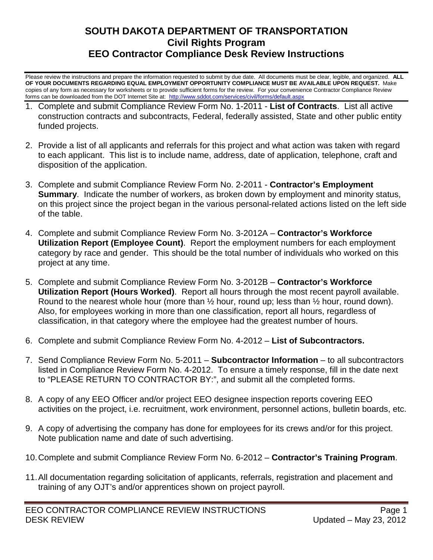## **SOUTH DAKOTA DEPARTMENT OF TRANSPORTATION Civil Rights Program EEO Contractor Compliance Desk Review Instructions**

Please review the instructions and prepare the information requested to submit by due date. All documents must be clear, legible, and organized. **ALL OF YOUR DOCUMENTS REGARDING EQUAL EMPLOYMENT OPPORTUNITY COMPLIANCE MUST BE AVAILABLE UPON REQUEST.** Make copies of any form as necessary for worksheets or to provide sufficient forms for the review. For your convenience Contractor Compliance Review forms can be downloaded from the DOT Internet Site at:<http://www.sddot.com/services/civil/forms/default.aspx>

- 1. Complete and submit Compliance Review Form No. 1-2011 **List of Contracts**. List all active construction contracts and subcontracts, Federal, federally assisted, State and other public entity funded projects.
- 2. Provide a list of all applicants and referrals for this project and what action was taken with regard to each applicant. This list is to include name, address, date of application, telephone, craft and disposition of the application.
- 3. Complete and submit Compliance Review Form No. 2-2011 **Contractor's Employment Summary**. Indicate the number of workers, as broken down by employment and minority status, on this project since the project began in the various personal-related actions listed on the left side of the table.
- 4. Complete and submit Compliance Review Form No. 3-2012A **Contractor's Workforce Utilization Report (Employee Count)**. Report the employment numbers for each employment category by race and gender. This should be the total number of individuals who worked on this project at any time.
- 5. Complete and submit Compliance Review Form No. 3-2012B **Contractor's Workforce Utilization Report (Hours Worked)**. Report all hours through the most recent payroll available. Round to the nearest whole hour (more than  $\frac{1}{2}$  hour, round up; less than  $\frac{1}{2}$  hour, round down). Also, for employees working in more than one classification, report all hours, regardless of classification, in that category where the employee had the greatest number of hours.
- 6. Complete and submit Compliance Review Form No. 4-2012 **List of Subcontractors.**
- 7. Send Compliance Review Form No. 5-2011 **Subcontractor Information** to all subcontractors listed in Compliance Review Form No. 4-2012. To ensure a timely response, fill in the date next to "PLEASE RETURN TO CONTRACTOR BY:", and submit all the completed forms.
- 8. A copy of any EEO Officer and/or project EEO designee inspection reports covering EEO activities on the project, i.e. recruitment, work environment, personnel actions, bulletin boards, etc.
- 9. A copy of advertising the company has done for employees for its crews and/or for this project. Note publication name and date of such advertising.
- 10.Complete and submit Compliance Review Form No. 6-2012 **Contractor's Training Program**.
- 11.All documentation regarding solicitation of applicants, referrals, registration and placement and training of any OJT's and/or apprentices shown on project payroll.